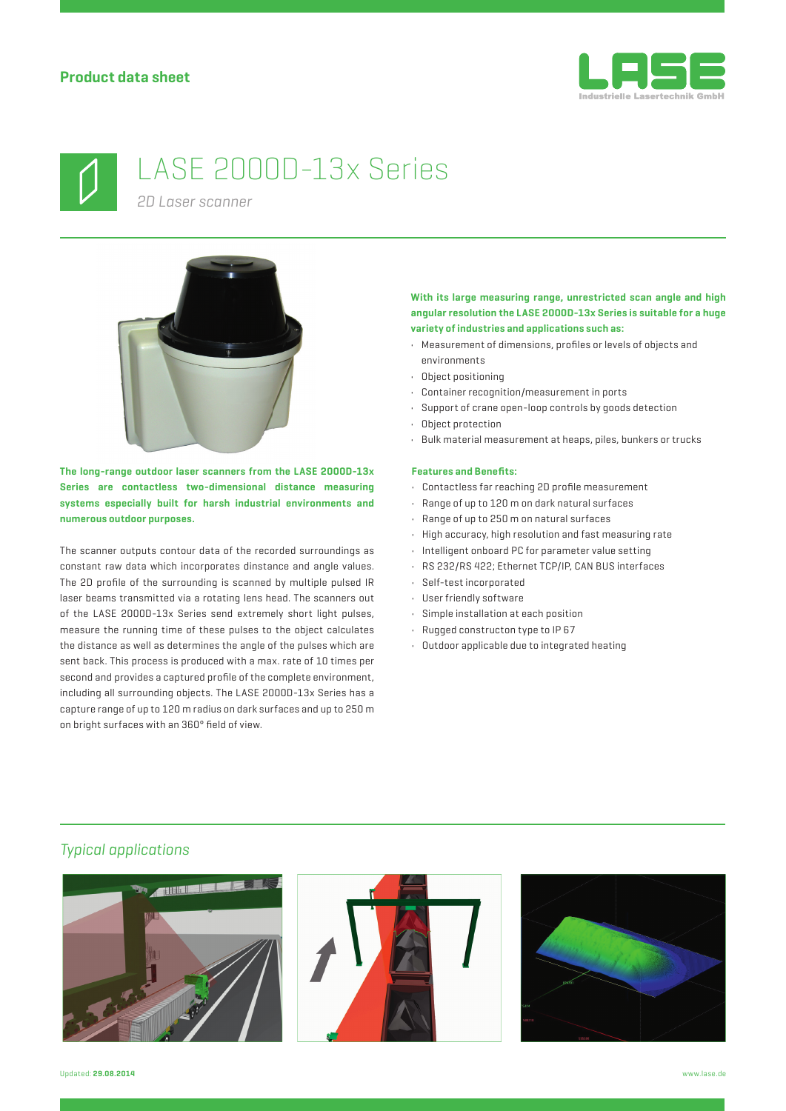



# LASE 2000D-13x Series

*2D Laser scanner*



**The long-range outdoor laser scanners from the LASE 2000D-13x Series are contactless two-dimensional distance measuring systems especially built for harsh industrial environments and numerous outdoor purposes.**

The scanner outputs contour data of the recorded surroundings as constant raw data which incorporates dinstance and angle values. The 2D profile of the surrounding is scanned by multiple pulsed IR laser beams transmitted via a rotating lens head. The scanners out of the LASE 2000D-13x Series send extremely short light pulses, measure the running time of these pulses to the object calculates the distance as well as determines the angle of the pulses which are sent back. This process is produced with a max. rate of 10 times per second and provides a captured profile of the complete environment, including all surrounding objects. The LASE 2000D-13x Series has a capture range of up to 120 m radius on dark surfaces and up to 250 m on bright surfaces with an 360° field of view.

### **With its large measuring range, unrestricted scan angle and high angular resolution the LASE 2000D-13x Series is suitable for a huge variety of industries and applications such as:**

- Measurement of dimensions, profiles or levels of objects and environments
- Object positioning
- Container recognition/measurement in ports
- Support of crane open-loop controls by goods detection
- Object protection
- Bulk material measurement at heaps, piles, bunkers or trucks

#### **Features and Benefits:**

- $\cdot$  Contactless far reaching 2D profile measurement
- Range of up to 120 m on dark natural surfaces
- Range of up to 250 m on natural surfaces
- High accuracy, high resolution and fast measuring rate
- Intelligent onboard PC for parameter value setting
- RS 232/RS 422; Ethernet TCP/IP, CAN BUS interfaces
- Self-test incorporated
- User friendly software
- Simple installation at each position
- Rugged constructon type to IP 67
- Outdoor applicable due to integrated heating

## *Typical applications*